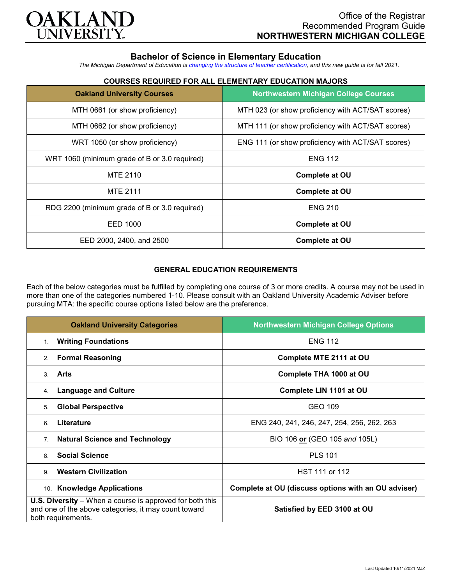

# **Bachelor of Science in Elementary Education**

*The Michigan Department of Education is [changing the structure of teacher certification,](https://docs.google.com/document/d/1W1uUK14Njx6WAB56T4jHbat65OZyg6TS04LdNWMXEcI/edit) and this new guide is for fall 2021.*

## **COURSES REQUIRED FOR ALL ELEMENTARY EDUCATION MAJORS**

| <b>Oakland University Courses</b>             | <b>Northwestern Michigan College Courses</b>      |
|-----------------------------------------------|---------------------------------------------------|
| MTH 0661 (or show proficiency)                | MTH 023 (or show proficiency with ACT/SAT scores) |
| MTH 0662 (or show proficiency)                | MTH 111 (or show proficiency with ACT/SAT scores) |
| WRT 1050 (or show proficiency)                | ENG 111 (or show proficiency with ACT/SAT scores) |
| WRT 1060 (minimum grade of B or 3.0 required) | <b>ENG 112</b>                                    |
| MTE 2110                                      | <b>Complete at OU</b>                             |
| <b>MTE 2111</b>                               | <b>Complete at OU</b>                             |
| RDG 2200 (minimum grade of B or 3.0 required) | <b>ENG 210</b>                                    |
| EED 1000                                      | <b>Complete at OU</b>                             |
| EED 2000, 2400, and 2500                      | <b>Complete at OU</b>                             |

### **GENERAL EDUCATION REQUIREMENTS**

Each of the below categories must be fulfilled by completing one course of 3 or more credits. A course may not be used in more than one of the categories numbered 1-10. Please consult with an Oakland University Academic Adviser before pursuing MTA: the specific course options listed below are the preference.

| <b>Oakland University Categories</b>                                                                                                          | <b>Northwestern Michigan College Options</b>        |
|-----------------------------------------------------------------------------------------------------------------------------------------------|-----------------------------------------------------|
| <b>Writing Foundations</b><br>1.                                                                                                              | <b>ENG 112</b>                                      |
| <b>Formal Reasoning</b><br>2.                                                                                                                 | Complete MTE 2111 at OU                             |
| Arts<br>3.                                                                                                                                    | Complete THA 1000 at OU                             |
| <b>Language and Culture</b><br>4.                                                                                                             | Complete LIN 1101 at OU                             |
| <b>Global Perspective</b><br>5.                                                                                                               | GEO 109                                             |
| Literature<br>6.                                                                                                                              | ENG 240, 241, 246, 247, 254, 256, 262, 263          |
| <b>Natural Science and Technology</b><br>7 <sub>1</sub>                                                                                       | BIO 106 or (GEO 105 and 105L)                       |
| <b>Social Science</b><br>8                                                                                                                    | <b>PLS 101</b>                                      |
| <b>Western Civilization</b><br>9                                                                                                              | HST 111 or 112                                      |
| 10. Knowledge Applications                                                                                                                    | Complete at OU (discuss options with an OU adviser) |
| <b>U.S. Diversity</b> – When a course is approved for both this<br>and one of the above categories, it may count toward<br>both requirements. | Satisfied by EED 3100 at OU                         |